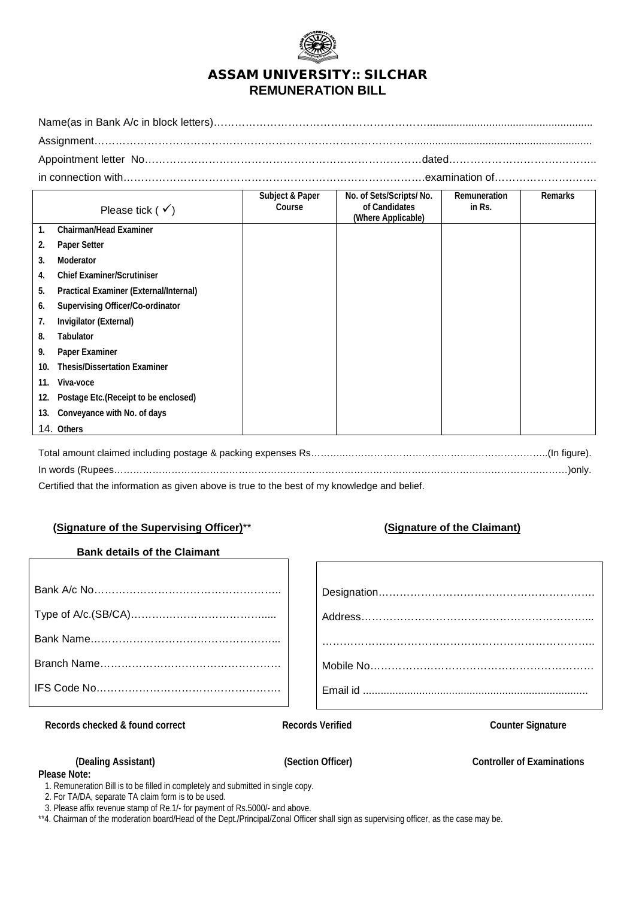

# ASSAM UNIVERSITY:: SILCHAR **REMUNERATION BILL**

Name(as in Bank A/c in block letters)……………………………………………………........................................................ Assignment………………………………………………………………………………............................................................ Appointment letter No……………………………………………………………………dated………………………….……….. in connection with………………………………………………………………………….examination of………………….…….

|     |                                        | Subject & Paper | No. of Sets/Scripts/ No.            | Remuneration | Remarks |
|-----|----------------------------------------|-----------------|-------------------------------------|--------------|---------|
|     | Please tick ( $\checkmark$ )           | Course          | of Candidates<br>(Where Applicable) | in Rs.       |         |
| 1.  | <b>Chairman/Head Examiner</b>          |                 |                                     |              |         |
| 2.  | Paper Setter                           |                 |                                     |              |         |
| 3.  | Moderator                              |                 |                                     |              |         |
| 4.  | <b>Chief Examiner/Scrutiniser</b>      |                 |                                     |              |         |
| 5.  | Practical Examiner (External/Internal) |                 |                                     |              |         |
| 6.  | Supervising Officer/Co-ordinator       |                 |                                     |              |         |
| 7.  | Invigilator (External)                 |                 |                                     |              |         |
| 8.  | <b>Tabulator</b>                       |                 |                                     |              |         |
| 9.  | Paper Examiner                         |                 |                                     |              |         |
| 10. | <b>Thesis/Dissertation Examiner</b>    |                 |                                     |              |         |
| 11. | Viva-voce                              |                 |                                     |              |         |
| 12. | Postage Etc.(Receipt to be enclosed)   |                 |                                     |              |         |
| 13. | Conveyance with No. of days            |                 |                                     |              |         |
|     | 14. Others                             |                 |                                     |              |         |

Total amount claimed including postage & packing expenses Rs………..…………………………………..…………………..(In figure). In words (Rupees…………………………………………………………………………………………………….………………………)only. Certified that the information as given above is true to the best of my knowledge and belief.

## **(Signature of the Supervising Officer)**\*\* **(Signature of the Claimant)**

### **Bank details of the Claimant**

**Records checked & found correct Records Verified Counter Signature**

**Please Note:**

**(Dealing Assistant) (Section Officer) Controller of Examinations**

1. Remuneration Bill is to be filled in completely and submitted in single copy.

2. For TA/DA, separate TA claim form is to be used.

3. Please affix revenue stamp of Re.1/- for payment of Rs.5000/- and above.

\*\*4. Chairman of the moderation board/Head of the Dept./Principal/Zonal Officer shall sign as supervising officer, as the case may be.